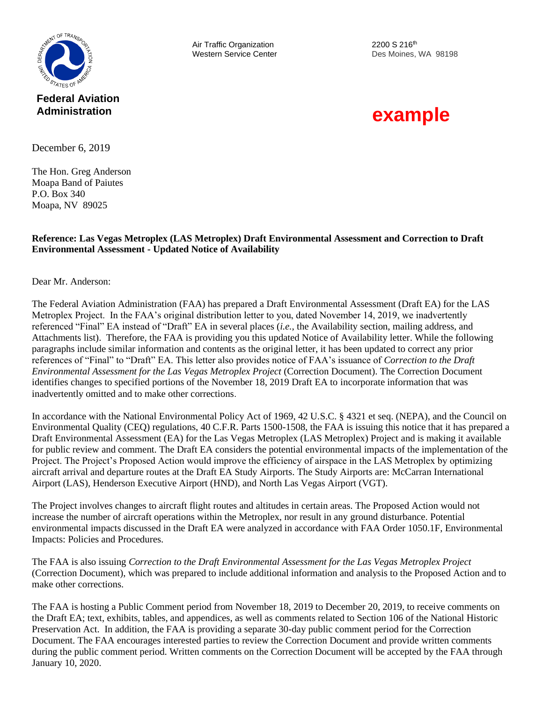

**Federal Aviation Administration**

Air Traffic Organization 2200 S 216<sup>th</sup>

Western Service Center **Des Moines**, WA 98198

# **example**

December 6, 2019

The Hon. Greg Anderson Moapa Band of Paiutes P.O. Box 340 Moapa, NV 89025

#### **Reference: Las Vegas Metroplex (LAS Metroplex) Draft Environmental Assessment and Correction to Draft Environmental Assessment - Updated Notice of Availability**

Dear Mr. Anderson:

The Federal Aviation Administration (FAA) has prepared a Draft Environmental Assessment (Draft EA) for the LAS Metroplex Project. In the FAA's original distribution letter to you, dated November 14, 2019, we inadvertently referenced "Final" EA instead of "Draft" EA in several places (*i.e.*, the Availability section, mailing address, and Attachments list). Therefore, the FAA is providing you this updated Notice of Availability letter. While the following paragraphs include similar information and contents as the original letter, it has been updated to correct any prior references of "Final" to "Draft" EA. This letter also provides notice of FAA's issuance of *Correction to the Draft Environmental Assessment for the Las Vegas Metroplex Project* (Correction Document). The Correction Document identifies changes to specified portions of the November 18, 2019 Draft EA to incorporate information that was inadvertently omitted and to make other corrections.

In accordance with the National Environmental Policy Act of 1969, 42 U.S.C. § 4321 et seq. (NEPA), and the Council on Environmental Quality (CEQ) regulations, 40 C.F.R. Parts 1500-1508, the FAA is issuing this notice that it has prepared a Draft Environmental Assessment (EA) for the Las Vegas Metroplex (LAS Metroplex) Project and is making it available for public review and comment. The Draft EA considers the potential environmental impacts of the implementation of the Project. The Project's Proposed Action would improve the efficiency of airspace in the LAS Metroplex by optimizing aircraft arrival and departure routes at the Draft EA Study Airports. The Study Airports are: McCarran International Airport (LAS), Henderson Executive Airport (HND), and North Las Vegas Airport (VGT).

The Project involves changes to aircraft flight routes and altitudes in certain areas. The Proposed Action would not increase the number of aircraft operations within the Metroplex, nor result in any ground disturbance. Potential environmental impacts discussed in the Draft EA were analyzed in accordance with FAA Order 1050.1F, Environmental Impacts: Policies and Procedures.

The FAA is also issuing *Correction to the Draft Environmental Assessment for the Las Vegas Metroplex Project* (Correction Document), which was prepared to include additional information and analysis to the Proposed Action and to make other corrections.

The FAA is hosting a Public Comment period from November 18, 2019 to December 20, 2019, to receive comments on the Draft EA; text, exhibits, tables, and appendices, as well as comments related to Section 106 of the National Historic Preservation Act. In addition, the FAA is providing a separate 30-day public comment period for the Correction Document. The FAA encourages interested parties to review the Correction Document and provide written comments during the public comment period. Written comments on the Correction Document will be accepted by the FAA through January 10, 2020.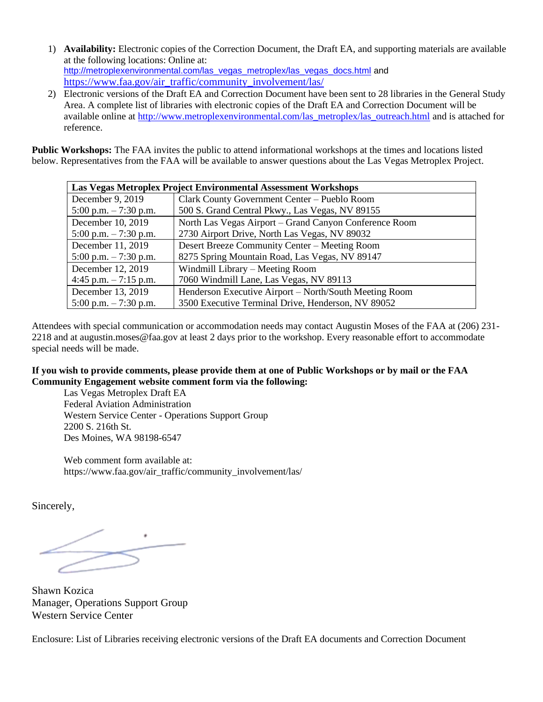- 1) **Availability:** Electronic copies of the Correction Document, the Draft EA, and supporting materials are available at the following locations: Online at: [http://metroplexenvironmental.com/las\\_vegas\\_metroplex/las\\_vegas\\_docs.html](http://metroplexenvironmental.com/las_vegas_metroplex/las_vegas_docs.html) and [https://www.faa.gov/air\\_traffic/community\\_involvement/las/](https://www.faa.gov/air_traffic/community_involvement/las/)
- 2) Electronic versions of the Draft EA and Correction Document have been sent to 28 libraries in the General Study Area. A complete list of libraries with electronic copies of the Draft EA and Correction Document will be available online at [http://www.metroplexenvironmental.com/las\\_metroplex/las\\_outreach.html](http://www.metroplexenvironmental.com/las_metroplex/las_outreach.html) and is attached for reference.

**Public Workshops:** The FAA invites the public to attend informational workshops at the times and locations listed below. Representatives from the FAA will be available to answer questions about the Las Vegas Metroplex Project.

| <b>Las Vegas Metroplex Project Environmental Assessment Workshops</b> |                                                        |
|-----------------------------------------------------------------------|--------------------------------------------------------|
| December 9, 2019                                                      | Clark County Government Center - Pueblo Room           |
| 5:00 p.m. $-7:30$ p.m.                                                | 500 S. Grand Central Pkwy., Las Vegas, NV 89155        |
| December 10, 2019                                                     | North Las Vegas Airport – Grand Canyon Conference Room |
| 5:00 p.m. $-7:30$ p.m.                                                | 2730 Airport Drive, North Las Vegas, NV 89032          |
| December 11, 2019                                                     | Desert Breeze Community Center – Meeting Room          |
| 5:00 p.m. $-7:30$ p.m.                                                | 8275 Spring Mountain Road, Las Vegas, NV 89147         |
| December 12, 2019                                                     | Windmill Library – Meeting Room                        |
| 4:45 p.m. $-7:15$ p.m.                                                | 7060 Windmill Lane, Las Vegas, NV 89113                |
| December 13, 2019                                                     | Henderson Executive Airport – North/South Meeting Room |
| 5:00 p.m. $-7:30$ p.m.                                                | 3500 Executive Terminal Drive, Henderson, NV 89052     |

Attendees with special communication or accommodation needs may contact Augustin Moses of the FAA at (206) 231- 2218 and at augustin.moses@faa.gov at least 2 days prior to the workshop. Every reasonable effort to accommodate special needs will be made.

#### **If you wish to provide comments, please provide them at one of Public Workshops or by mail or the FAA Community Engagement website comment form via the following:**

Las Vegas Metroplex Draft EA Federal Aviation Administration Western Service Center - Operations Support Group 2200 S. 216th St. Des Moines, WA 98198-6547

Web comment form available at: https://www.faa.gov/air\_traffic/community\_involvement/las/

Sincerely,

Shawn Kozica Manager, Operations Support Group Western Service Center

Enclosure: List of Libraries receiving electronic versions of the Draft EA documents and Correction Document